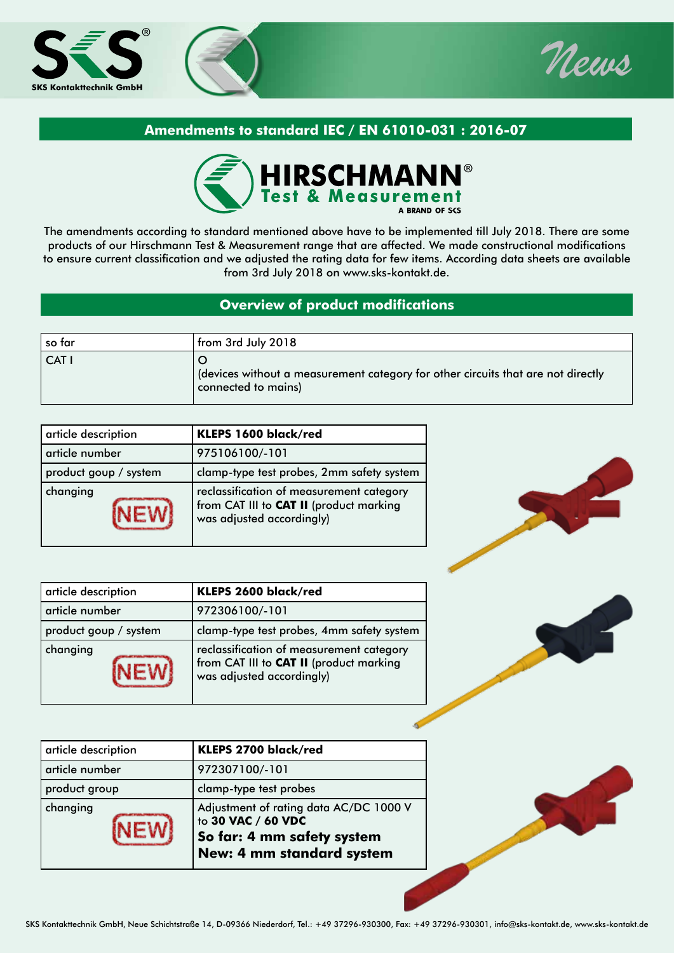



## **Amendments to standard IEC / EN 61010-031 : 2016-07**



The amendments according to standard mentioned above have to be implemented till July 2018. There are some products of our Hirschmann Test & Measurement range that are affected. We made constructional modifications to ensure current classification and we adjusted the rating data for few items. According data sheets are available from 3rd July 2018 on www.sks-kontakt.de.

## **Overview of product modifications**

| so far | from 3rd July 2018                                                                                       |
|--------|----------------------------------------------------------------------------------------------------------|
| CAT I  | devices without a measurement category for other circuits that are not directly (<br>connected to mains) |

| article description   | KLEPS 1600 black/red                                                                                             |  |
|-----------------------|------------------------------------------------------------------------------------------------------------------|--|
| article number        | 975106100/-101                                                                                                   |  |
| product goup / system | clamp-type test probes, 2mm safety system                                                                        |  |
| changing              | reclassification of measurement category<br>from CAT III to CAT II (product marking<br>was adjusted accordingly) |  |

| article description   | KLEPS 2600 black/red                                                                                             |
|-----------------------|------------------------------------------------------------------------------------------------------------------|
| article number        | 972306100/-101                                                                                                   |
| product goup / system | clamp-type test probes, 4mm safety system                                                                        |
| changing              | reclassification of measurement category<br>from CAT III to CAT II (product marking<br>was adjusted accordingly) |

| article description | KLEPS 2700 black/red                                                                                                    |
|---------------------|-------------------------------------------------------------------------------------------------------------------------|
| article number      | 972307100/-101                                                                                                          |
| product group       | clamp-type test probes                                                                                                  |
| changing            | Adjustment of rating data AC/DC 1000 V<br>to 30 VAC / 60 VDC<br>So far: 4 mm safety system<br>New: 4 mm standard system |